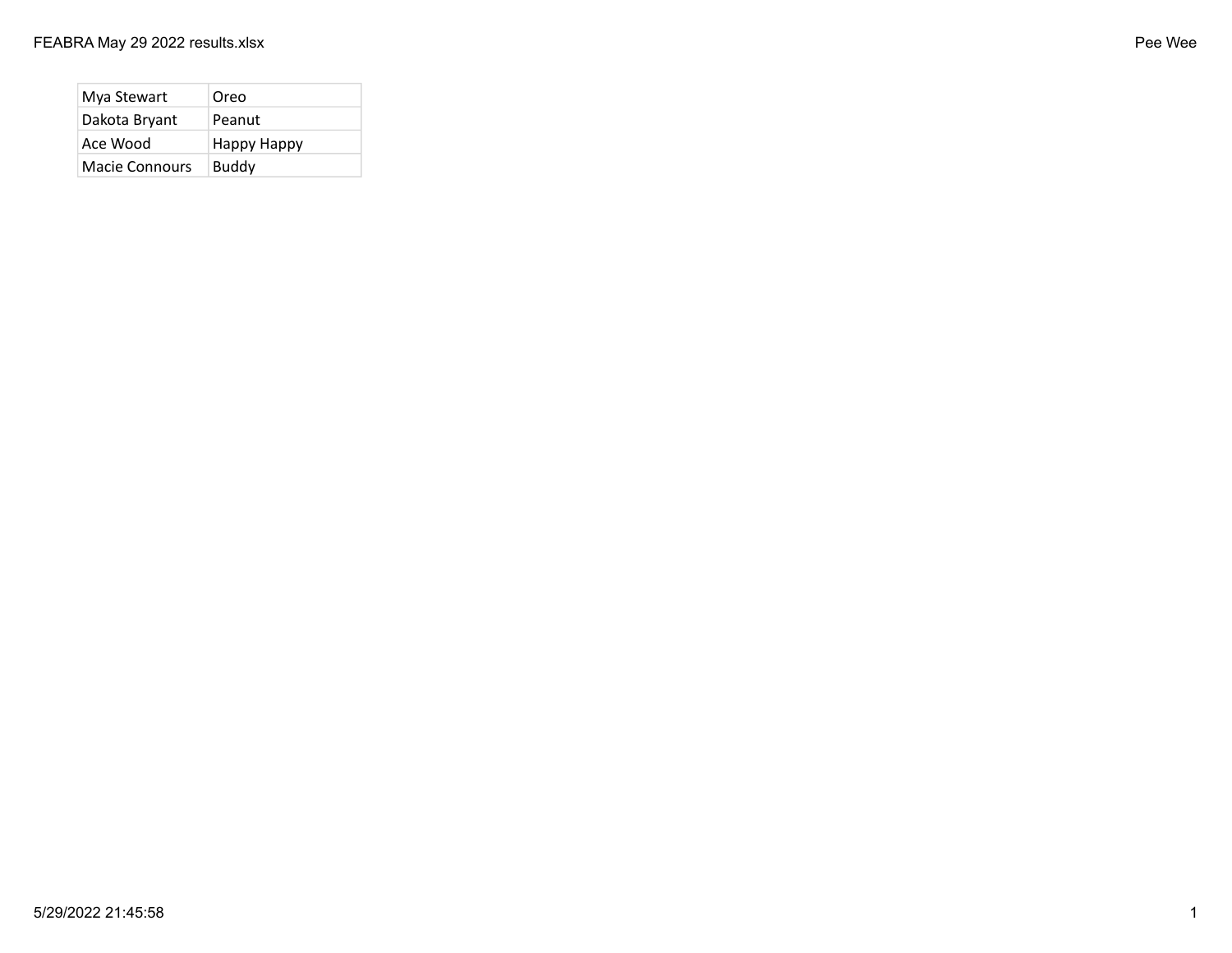| Mya Stewart    | Oreo         |
|----------------|--------------|
| Dakota Bryant  | Peanut       |
| Ace Wood       | Happy Happy  |
| Macie Connours | <b>Buddy</b> |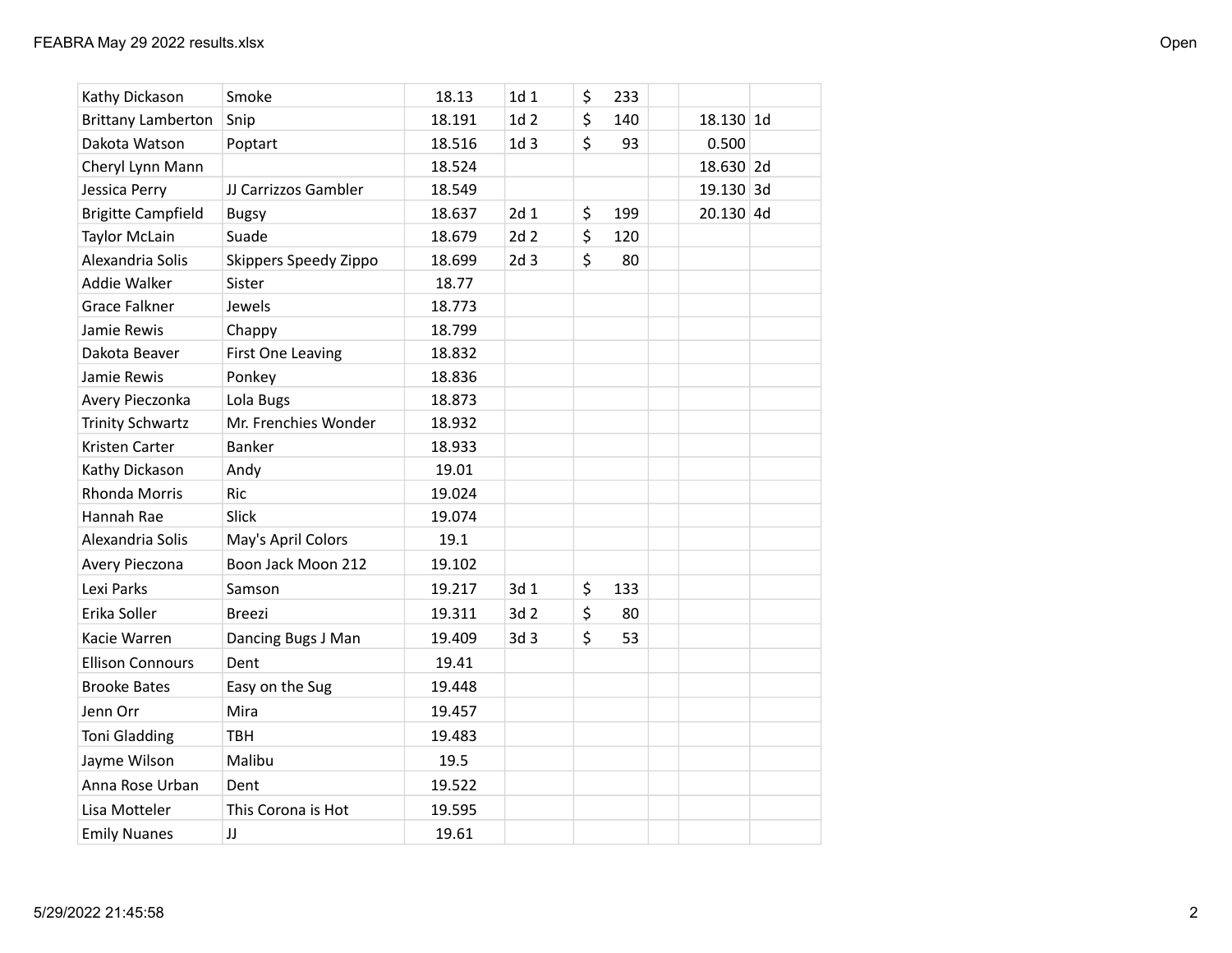| Kathy Dickason            | Smoke                 | 18.13  | 1d 1            | \$<br>233 |             |  |
|---------------------------|-----------------------|--------|-----------------|-----------|-------------|--|
| <b>Brittany Lamberton</b> | Snip                  | 18.191 | 1d <sub>2</sub> | \$<br>140 | 18.130 1d   |  |
| Dakota Watson             | Poptart               | 18.516 | 1d <sub>3</sub> | \$<br>93  | 0.500       |  |
| Cheryl Lynn Mann          |                       | 18.524 |                 |           | 18.630 2d   |  |
| Jessica Perry             | JJ Carrizzos Gambler  | 18.549 |                 |           | 19.130 3d   |  |
| <b>Brigitte Campfield</b> | <b>Bugsy</b>          | 18.637 | 2d <sub>1</sub> | \$<br>199 | $20.130$ 4d |  |
| <b>Taylor McLain</b>      | Suade                 | 18.679 | 2d <sub>2</sub> | \$<br>120 |             |  |
| Alexandria Solis          | Skippers Speedy Zippo | 18.699 | 2d <sub>3</sub> | \$<br>80  |             |  |
| Addie Walker              | Sister                | 18.77  |                 |           |             |  |
| <b>Grace Falkner</b>      | Jewels                | 18.773 |                 |           |             |  |
| Jamie Rewis               | Chappy                | 18.799 |                 |           |             |  |
| Dakota Beaver             | First One Leaving     | 18.832 |                 |           |             |  |
| Jamie Rewis               | Ponkey                | 18.836 |                 |           |             |  |
| Avery Pieczonka           | Lola Bugs             | 18.873 |                 |           |             |  |
| <b>Trinity Schwartz</b>   | Mr. Frenchies Wonder  | 18.932 |                 |           |             |  |
| Kristen Carter            | Banker                | 18.933 |                 |           |             |  |
| Kathy Dickason            | Andy                  | 19.01  |                 |           |             |  |
| Rhonda Morris             | Ric                   | 19.024 |                 |           |             |  |
| Hannah Rae                | Slick                 | 19.074 |                 |           |             |  |
| Alexandria Solis          | May's April Colors    | 19.1   |                 |           |             |  |
| Avery Pieczona            | Boon Jack Moon 212    | 19.102 |                 |           |             |  |
| Lexi Parks                | Samson                | 19.217 | 3d 1            | \$<br>133 |             |  |
| Erika Soller              | <b>Breezi</b>         | 19.311 | 3d 2            | \$<br>80  |             |  |
| Kacie Warren              | Dancing Bugs J Man    | 19.409 | 3d 3            | \$<br>53  |             |  |
| <b>Ellison Connours</b>   | Dent                  | 19.41  |                 |           |             |  |
| <b>Brooke Bates</b>       | Easy on the Sug       | 19.448 |                 |           |             |  |
| Jenn Orr                  | Mira                  | 19.457 |                 |           |             |  |
| Toni Gladding             | <b>TBH</b>            | 19.483 |                 |           |             |  |
| Jayme Wilson              | Malibu                | 19.5   |                 |           |             |  |
| Anna Rose Urban           | Dent                  | 19.522 |                 |           |             |  |
| Lisa Motteler             | This Corona is Hot    | 19.595 |                 |           |             |  |
| <b>Emily Nuanes</b>       | JJ                    | 19.61  |                 |           |             |  |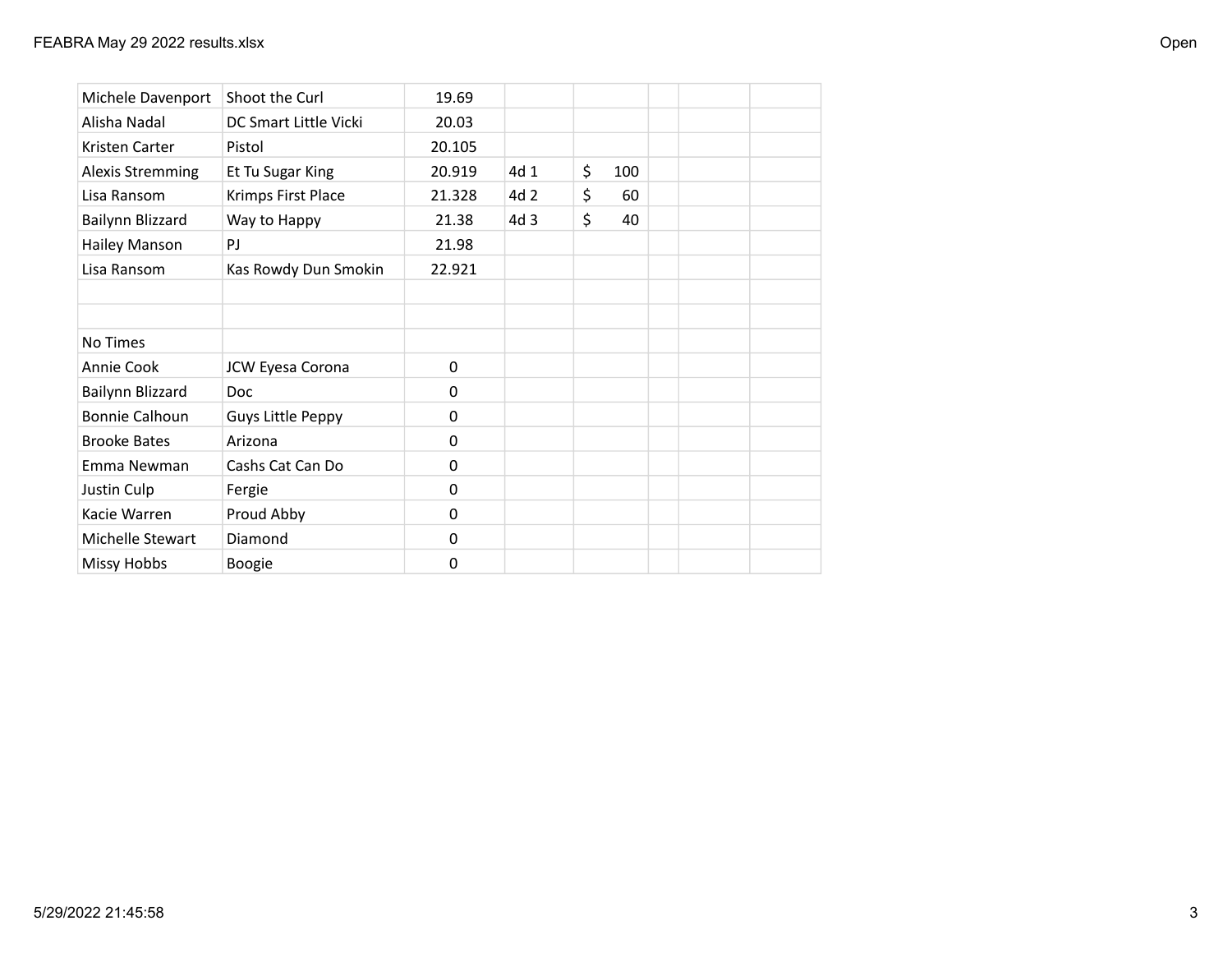| Michele Davenport       | Shoot the Curl           | 19.69    |      |           |  |  |
|-------------------------|--------------------------|----------|------|-----------|--|--|
| Alisha Nadal            | DC Smart Little Vicki    | 20.03    |      |           |  |  |
| Kristen Carter          | Pistol                   | 20.105   |      |           |  |  |
| <b>Alexis Stremming</b> | Et Tu Sugar King         | 20.919   | 4d 1 | \$<br>100 |  |  |
| Lisa Ransom             | Krimps First Place       | 21.328   | 4d 2 | \$<br>60  |  |  |
| Bailynn Blizzard        | Way to Happy             | 21.38    | 4d 3 | \$<br>40  |  |  |
| Hailey Manson           | PJ                       | 21.98    |      |           |  |  |
| Lisa Ransom             | Kas Rowdy Dun Smokin     | 22.921   |      |           |  |  |
|                         |                          |          |      |           |  |  |
|                         |                          |          |      |           |  |  |
| No Times                |                          |          |      |           |  |  |
| Annie Cook              | JCW Eyesa Corona         | 0        |      |           |  |  |
| Bailynn Blizzard        | <b>Doc</b>               | 0        |      |           |  |  |
| Bonnie Calhoun          | <b>Guys Little Peppy</b> | 0        |      |           |  |  |
| <b>Brooke Bates</b>     | Arizona                  | $\Omega$ |      |           |  |  |
| Emma Newman             | Cashs Cat Can Do         | $\Omega$ |      |           |  |  |
| Justin Culp             | Fergie                   | $\Omega$ |      |           |  |  |
| Kacie Warren            | Proud Abby               | 0        |      |           |  |  |
| Michelle Stewart        | Diamond                  | 0        |      |           |  |  |
| <b>Missy Hobbs</b>      | <b>Boogie</b>            | 0        |      |           |  |  |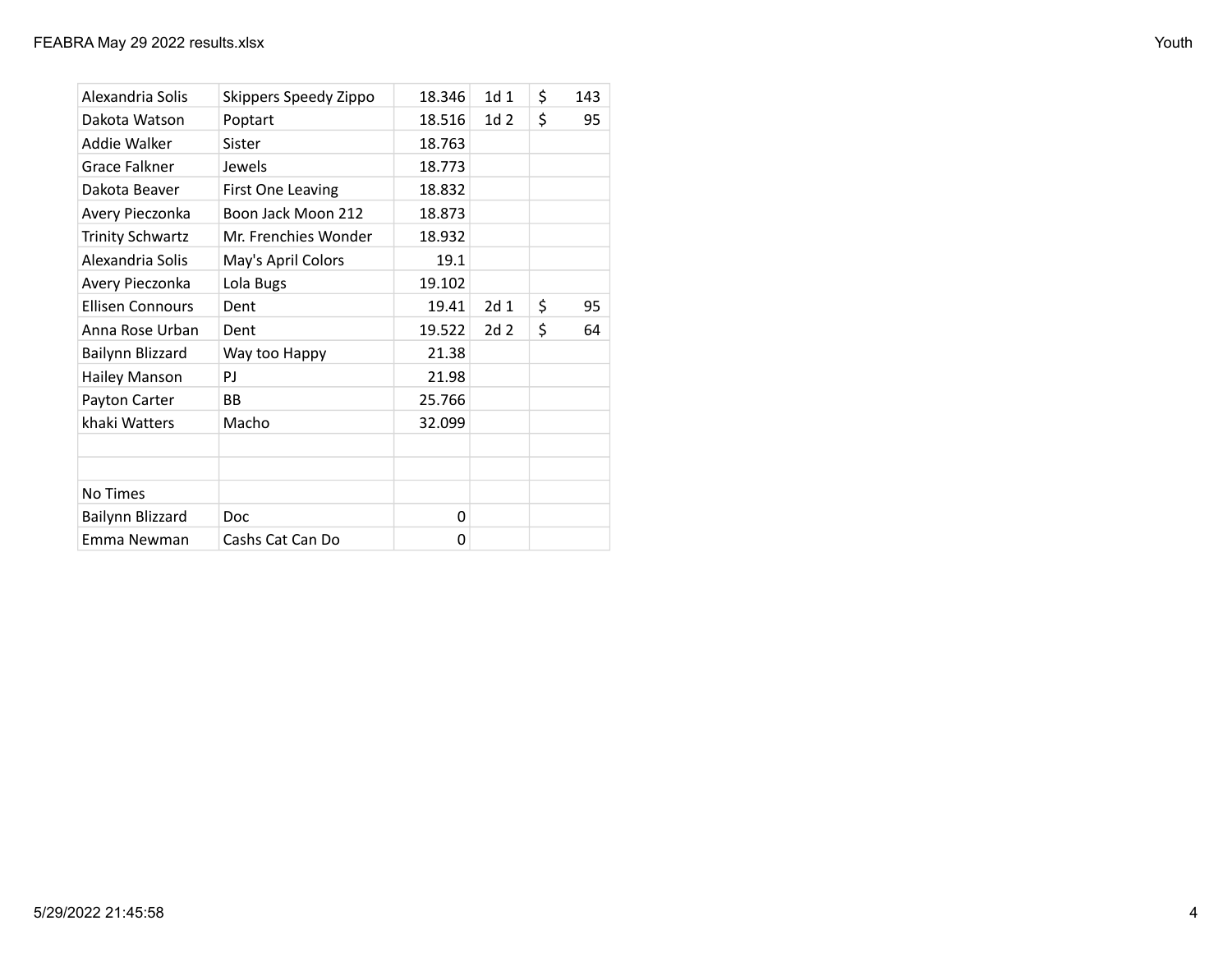| Alexandria Solis        | Skippers Speedy Zippo | 18.346 | 1d <sub>1</sub> | \$<br>143 |
|-------------------------|-----------------------|--------|-----------------|-----------|
| Dakota Watson           | Poptart               | 18.516 | 1d <sub>2</sub> | \$<br>95  |
| Addie Walker            | Sister                | 18.763 |                 |           |
| Grace Falkner           | Jewels                | 18.773 |                 |           |
| Dakota Beaver           | First One Leaving     | 18.832 |                 |           |
| Avery Pieczonka         | Boon Jack Moon 212    | 18.873 |                 |           |
| <b>Trinity Schwartz</b> | Mr. Frenchies Wonder  | 18.932 |                 |           |
| Alexandria Solis        | May's April Colors    | 19.1   |                 |           |
| Avery Pieczonka         | Lola Bugs             | 19.102 |                 |           |
| <b>Ellisen Connours</b> | Dent                  | 19.41  | 2d <sub>1</sub> | \$<br>95  |
| Anna Rose Urban         | Dent                  | 19.522 | 2d <sub>2</sub> | \$<br>64  |
| Bailynn Blizzard        | Way too Happy         | 21.38  |                 |           |
| <b>Hailey Manson</b>    | PJ                    | 21.98  |                 |           |
| Payton Carter           | ВB                    | 25.766 |                 |           |
| khaki Watters           | Macho                 | 32.099 |                 |           |
|                         |                       |        |                 |           |
|                         |                       |        |                 |           |
| No Times                |                       |        |                 |           |
| Bailynn Blizzard        | <b>Doc</b>            | 0      |                 |           |
| Emma Newman             | Cashs Cat Can Do      | 0      |                 |           |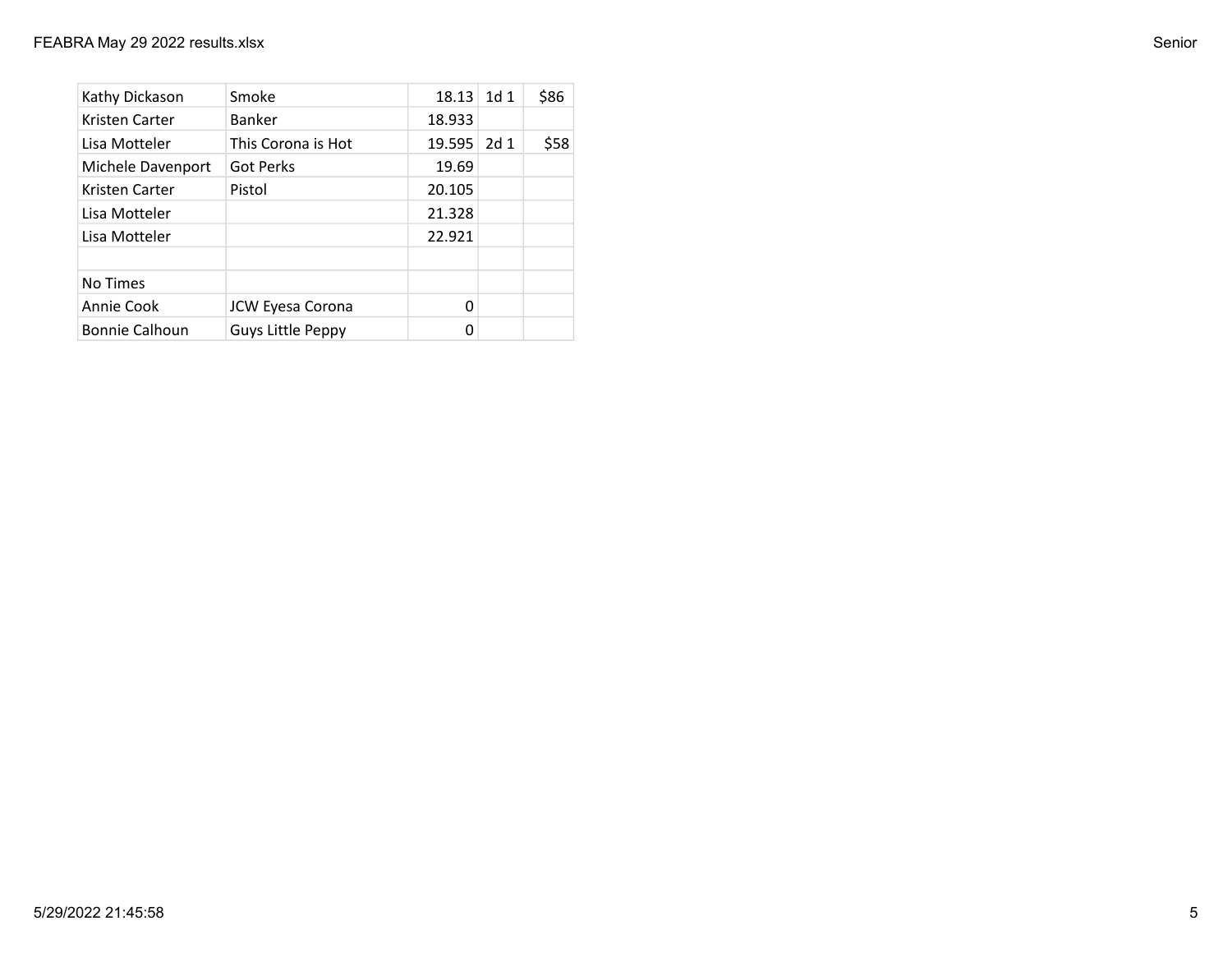| Kathy Dickason        | Smoke              | 18.13  | 1d <sub>1</sub> | \$86 |
|-----------------------|--------------------|--------|-----------------|------|
| Kristen Carter        | Banker             | 18.933 |                 |      |
| Lisa Motteler         | This Corona is Hot | 19.595 | 2d <sub>1</sub> | \$58 |
| Michele Davenport     | <b>Got Perks</b>   | 19.69  |                 |      |
| Kristen Carter        | Pistol             | 20.105 |                 |      |
| Lisa Motteler         |                    | 21.328 |                 |      |
| Lisa Motteler         |                    | 22.921 |                 |      |
|                       |                    |        |                 |      |
| No Times              |                    |        |                 |      |
| Annie Cook            | JCW Eyesa Corona   | 0      |                 |      |
| <b>Bonnie Calhoun</b> | Guys Little Peppy  | 0      |                 |      |